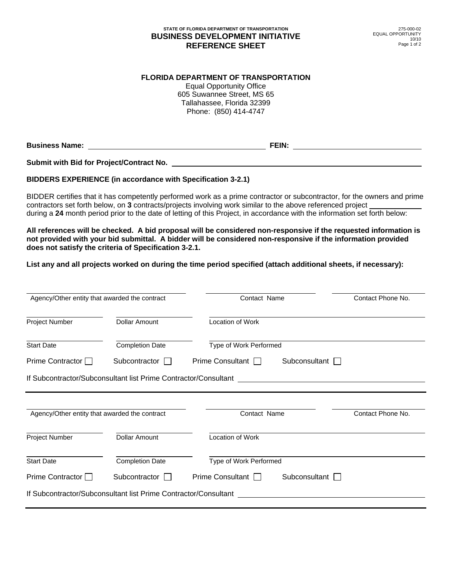## **STATE OF FLORIDA DEPARTMENT OF TRANSPORTATION BUSINESS DEVELOPMENT INITIATIVE REFERENCE SHEET**

## **FLORIDA DEPARTMENT OF TRANSPORTATION**

Equal Opportunity Office 605 Suwannee Street, MS 65 Tallahassee, Florida 32399 Phone: (850) 414-4747

**Business Name: FEIN:** 

**Submit with Bid for Project/Contract No.** 

## **BIDDERS EXPERIENCE (in accordance with Specification 3-2.1)**

BIDDER certifies that it has competently performed work as a prime contractor or subcontractor, for the owners and prime contractors set forth below, on **3** contracts/projects involving work similar to the above referenced project during a **24** month period prior to the date of letting of this Project, in accordance with the information set forth below:

**All references will be checked. A bid proposal will be considered non-responsive if the requested information is not provided with your bid submittal. A bidder will be considered non-responsive if the information provided does not satisfy the criteria of Specification 3-2.1.** 

**List any and all projects worked on during the time period specified (attach additional sheets, if necessary):** 

| Agency/Other entity that awarded the contract                  |                                                                 | Contact Name            | Contact Phone No.    |
|----------------------------------------------------------------|-----------------------------------------------------------------|-------------------------|----------------------|
| Project Number                                                 | <b>Dollar Amount</b>                                            | Location of Work        |                      |
| <b>Start Date</b>                                              | <b>Completion Date</b>                                          | Type of Work Performed  |                      |
| Prime Contractor $\Box$                                        | Subcontractor                                                   | Prime Consultant $\Box$ | Subconsultant $\Box$ |
|                                                                | If Subcontractor/Subconsultant list Prime Contractor/Consultant |                         |                      |
|                                                                |                                                                 |                         |                      |
| Agency/Other entity that awarded the contract                  |                                                                 | Contact Name            | Contact Phone No.    |
|                                                                | <b>Dollar Amount</b>                                            | Location of Work        |                      |
|                                                                | <b>Completion Date</b>                                          | Type of Work Performed  |                      |
| Project Number<br><b>Start Date</b><br>Prime Contractor $\Box$ | Subcontractor $\Box$                                            | <b>Prime Consultant</b> | Subconsultant        |